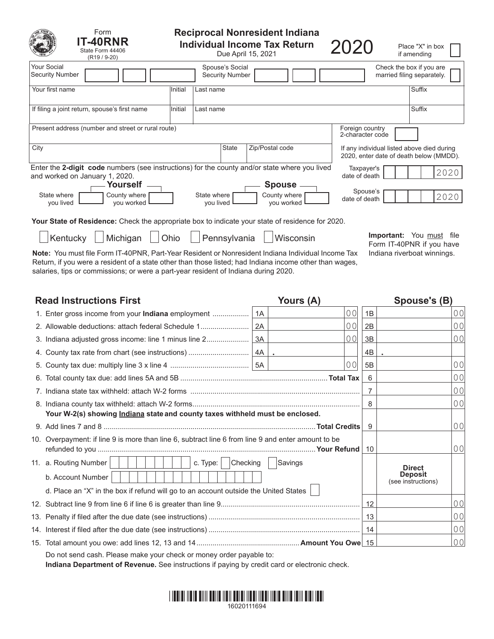| Form<br><b>T-40RNR</b><br>State Form 44406<br>(R <sub>19</sub> / 9-20)                                                                                                     | <b>Reciprocal Nonresident Indiana</b><br><b>Individual Income Tax Return</b><br>Due April 15, 2021 |           |                                           |                 |                                     |                                                                                       | Place "X" in box<br>if amending                        |      |
|----------------------------------------------------------------------------------------------------------------------------------------------------------------------------|----------------------------------------------------------------------------------------------------|-----------|-------------------------------------------|-----------------|-------------------------------------|---------------------------------------------------------------------------------------|--------------------------------------------------------|------|
| Your Social<br><b>Security Number</b>                                                                                                                                      |                                                                                                    |           | Spouse's Social<br><b>Security Number</b> |                 |                                     |                                                                                       | Check the box if you are<br>married filing separately. |      |
| Your first name                                                                                                                                                            | Initial                                                                                            | Last name |                                           |                 |                                     |                                                                                       | Suffix                                                 |      |
| If filing a joint return, spouse's first name                                                                                                                              | Initial                                                                                            | Last name |                                           |                 |                                     |                                                                                       | Suffix                                                 |      |
| Present address (number and street or rural route)                                                                                                                         |                                                                                                    |           |                                           |                 | Foreign country<br>2-character code |                                                                                       |                                                        |      |
| City                                                                                                                                                                       |                                                                                                    |           | <b>State</b>                              | Zip/Postal code |                                     | If any individual listed above died during<br>2020, enter date of death below (MMDD). |                                                        |      |
| Enter the 2-digit code numbers (see instructions) for the county and/or state where you lived<br>and worked on January 1, 2020.                                            |                                                                                                    |           |                                           |                 | Taxpayer's<br>date of death         |                                                                                       |                                                        | 2020 |
| Yourself<br><b>Spouse</b><br>Spouse's<br>State where<br>State where<br>County where<br>County where<br>date of death<br>you worked<br>you lived<br>you worked<br>you lived |                                                                                                    |           |                                           |                 |                                     |                                                                                       |                                                        | 2020 |
| <b>Your State of Residence:</b> Check the appropriate box to indicate your state of residence for 2020.                                                                    |                                                                                                    |           |                                           |                 |                                     |                                                                                       |                                                        |      |
| Michigan<br>Kentucky                                                                                                                                                       | Ohjo                                                                                               |           | Pennsylvania                              | Wisconsin       |                                     | Important:<br>Form IT-40PNR if you have                                               | You must                                               | file |

Note: You must file Form IT-40PNR, Part-Year Resident or Nonresident Indiana Individual Income Tax Indiana riverboat winnings. Return, if you were a resident of a state other than those listed; had Indiana income other than wages, salaries, tips or commissions; or were a part-year resident of Indiana during 2020.

| <b>Read Instructions First</b> |                                                                                                    |    | Yours (A)      | Spouse's (B)   |                                                       |                |
|--------------------------------|----------------------------------------------------------------------------------------------------|----|----------------|----------------|-------------------------------------------------------|----------------|
|                                | 1. Enter gross income from your Indiana employment                                                 | 1A | 0 <sub>0</sub> | 1B             |                                                       | 00             |
|                                | 2. Allowable deductions: attach federal Schedule 1                                                 | 2A | 00             | 2B             |                                                       | 0 <sub>0</sub> |
|                                |                                                                                                    |    | 00             | 3B             |                                                       | 0 <sub>0</sub> |
|                                |                                                                                                    |    |                | 4B             |                                                       |                |
|                                |                                                                                                    |    | 0 <sub>0</sub> | 5B             |                                                       | 0 <sub>0</sub> |
|                                |                                                                                                    |    |                | 6              |                                                       | 0 <sub>0</sub> |
|                                |                                                                                                    |    |                | $\overline{7}$ |                                                       | 0 <sub>0</sub> |
|                                |                                                                                                    | 8  |                | 0 <sub>0</sub> |                                                       |                |
|                                | Your W-2(s) showing <i>Indiana</i> state and county taxes withheld must be enclosed.               |    |                |                |                                                       |                |
|                                |                                                                                                    | 9  |                | 0 <sub>0</sub> |                                                       |                |
|                                | 10. Overpayment: if line 9 is more than line 6, subtract line 6 from line 9 and enter amount to be |    |                | 10             |                                                       | 0 <sub>0</sub> |
|                                | 11. a. Routing Number<br>Checking<br>c. Type:                                                      |    | Savings        |                |                                                       |                |
|                                | b. Account Number                                                                                  |    |                |                | <b>Direct</b><br><b>Deposit</b><br>(see instructions) |                |
|                                | d. Place an "X" in the box if refund will go to an account outside the United States               |    |                |                |                                                       |                |
|                                |                                                                                                    | 12 |                | 0 <sub>0</sub> |                                                       |                |
|                                |                                                                                                    |    |                | 13             |                                                       | 0 <sub>0</sub> |
|                                |                                                                                                    |    |                | $\vert$ 14     |                                                       | 0 <sub>0</sub> |
|                                |                                                                                                    |    |                |                |                                                       | 0 <sub>0</sub> |
|                                | Do not send cash. Please make your check or money order payable to:                                |    |                |                |                                                       |                |

**Indiana Department of Revenue.** See instructions if paying by credit card or electronic check.

# \*16020111694 \*1111 \*1112 11312 \*11313 \*11314 \*11315 \*11316 \*11316 \*1131 16020111694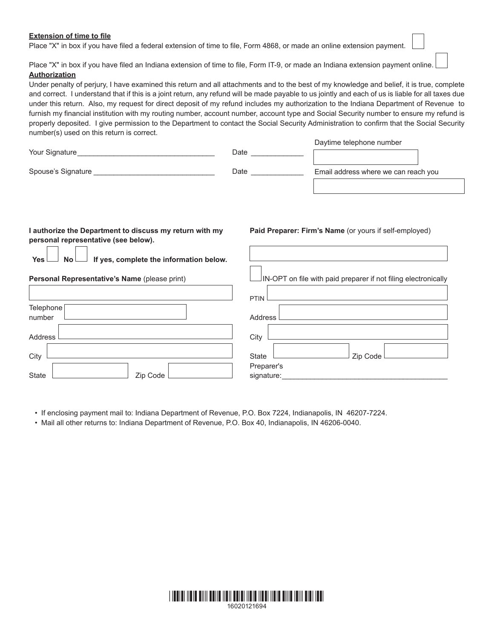# **Extension of time to file**

Place "X" in box if you have filed a federal extension of time to file, Form 4868, or made an online extension payment.

Place "X" in box if you have filed an Indiana extension of time to file, Form IT-9, or made an Indiana extension payment online. **Authorization**

Under penalty of perjury, I have examined this return and all attachments and to the best of my knowledge and belief, it is true, complete and correct. I understand that if this is a joint return, any refund will be made payable to us jointly and each of us is liable for all taxes due under this return. Also, my request for direct deposit of my refund includes my authorization to the Indiana Department of Revenue to furnish my financial institution with my routing number, account number, account type and Social Security number to ensure my refund is properly deposited. I give permission to the Department to contact the Social Security Administration to confirm that the Social Security number(s) used on this return is correct.

| Your Signature     | Date | Daytime telephone number             |
|--------------------|------|--------------------------------------|
| Spouse's Signature | Date | Email address where we can reach you |
|                    |      |                                      |

# **I authorize the Department to discuss my return with my personal representative (see below).**

**Yes No If yes, complete the information below.**

# **Personal Representative's Name** (please print)

|                     | PTIN <sup>1</sup>        |
|---------------------|--------------------------|
| Telephone<br>number | Address                  |
| Address             | City                     |
| City                | Zip Code<br>State        |
| State<br>Zip Code   | Preparer's<br>signature: |

• If enclosing payment mail to: Indiana Department of Revenue, P.O. Box 7224, Indianapolis, IN 46207-7224.

• Mail all other returns to: Indiana Department of Revenue, P.O. Box 40, Indianapolis, IN 46206-0040.



# **Paid Preparer: Firm's Name** (or yours if self-employed)

 $\vert$ IN-OPT on file with paid preparer if not filing electronically

Daytime telephone number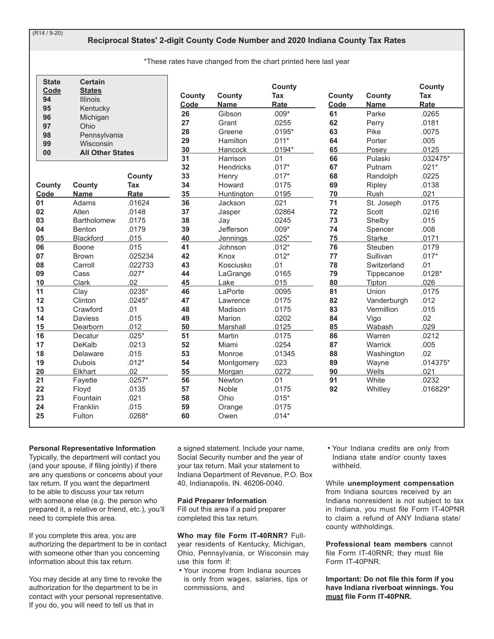$(R14/9-20)$ 

# Reciprocal States' 2-digit County Code Number and 2020 Indiana County Tax Rates

\*These rates have changed from the chart printed here last year

| <b>State</b><br>Code | <b>Certain</b><br><b>States</b>      |          | County   | County            | County<br>Tax    | County | County      | County<br>Tax |
|----------------------|--------------------------------------|----------|----------|-------------------|------------------|--------|-------------|---------------|
| 94                   | <b>Illinois</b>                      |          | Code     | <b>Name</b>       | Rate             | Code   | <b>Name</b> | Rate          |
| 95                   | Kentucky                             |          | 26       | Gibson            | $.009*$          | 61     | Parke       | .0265         |
| 96                   | Michigan                             |          | 27       | Grant             | .0255            | 62     | Perry       | .0181         |
| 97                   | Ohio                                 |          | 28       | Greene            | $.0195*$         | 63     | Pike        | .0075         |
| 98                   | Pennsylvania                         |          | 29       | Hamilton          | $.011*$          | 64     | Porter      | .005          |
| 99                   | Wisconsin<br><b>All Other States</b> |          | 30       | Hancock           | $.0194*$         | 65     | Posey       | .0125         |
| 00                   |                                      |          | 31       | Harrison          | .01              | 66     | Pulaski     | $.032475*$    |
|                      |                                      |          | 32       | <b>Hendricks</b>  | $.017*$          | 67     | Putnam      | $.021*$       |
|                      |                                      | County   | 33       | Henry             | $.017*$          | 68     | Randolph    | .0225         |
| County               | <b>County</b>                        | Tax      | 34       | Howard            | .0175            | 69     | Ripley      | .0138         |
| Code                 | <b>Name</b>                          | Rate     | 35       | <b>Huntington</b> | .0195            | 70     | Rush        | .021          |
| 01                   | Adams                                | .01624   | 36       | Jackson           | .021             | 71     | St. Joseph  | .0175         |
| 02                   | Allen                                | .0148    | 37       | Jasper            | .02864           | 72     | Scott       | .0216         |
| 03                   | <b>Bartholomew</b>                   | .0175    | 38       | Jay               | .0245            | 73     | Shelby      | .015          |
| 04                   | Benton                               | .0179    | 39       | Jefferson         | $.009*$          | 74     | Spencer     | .008          |
| 05                   | <b>Blackford</b>                     | .015     | 40       | Jennings          | $.025*$          | 75     | Starke      | .0171         |
| 06                   | Boone                                | .015     | 41       | Johnson           | $.012*$          | 76     | Steuben     | .0179         |
| 07                   | <b>Brown</b>                         | .025234  | 42       | Knox              | $.012*$          | 77     | Sullivan    | $.017*$       |
| 08                   | Carroll                              | .022733  | 43       | Kosciusko         | .01              | 78     | Switzerland | .01           |
| 09                   | Cass                                 | $.027*$  | 44       | LaGrange          | .0165            | 79     | Tippecanoe  | $.0128*$      |
| 10                   | Clark                                | .02      | 45       | Lake              | .015             | 80     | Tipton      | .026          |
| 11                   | Clay                                 | $.0235*$ | 46       | LaPorte           | .0095            | 81     | Union       | .0175         |
| 12                   | Clinton                              | $.0245*$ | 47       | Lawrence          | .0175            | 82     | Vanderburgh | .012          |
| 13                   | Crawford                             | .01      | 48       | Madison           | .0175            | 83     | Vermillion  | .015          |
| 14                   | <b>Daviess</b>                       | .015     | 49       | Marion            | .0202            | 84     | Vigo        | .02           |
| 15                   | Dearborn                             | .012     | 50       | Marshall          | .0125            | 85     | Wabash      | .029          |
| 16                   | Decatur                              | $.025*$  | 51       | Martin            | .0175            | 86     | Warren      | .0212         |
| 17                   | DeKalb                               | .0213    | 52       | Miami             | .0254            | 87     | Warrick     | .005          |
| 18                   | Delaware                             | .015     | 53       | Monroe            | .01345           | 88     | Washington  | .02           |
| 19                   | <b>Dubois</b>                        | $.012*$  | 54       | Montgomery        | .023             | 89     | Wayne       | $.014375*$    |
| 20                   | Elkhart                              | .02      | 55       | Morgan            | .0272            | 90     | Wells       | .021          |
| 21                   | Fayette                              | $.0257*$ | 56       | Newton            | .01              | 91     | White       | .0232         |
| 22                   | Floyd                                | .0135    | 57       | Noble             | .0175            | 92     | Whitley     | $.016829*$    |
| 23                   | Fountain                             | .021     | 58       | Ohio              | $.015*$          |        |             |               |
| 24<br>25             | Franklin                             | .015     | 59<br>60 | Orange            | .0175<br>$.014*$ |        |             |               |
|                      | Fulton                               | $.0268*$ |          | Owen              |                  |        |             |               |

# **Personal Representative Information**

Typically, the department will contact you (and your spouse, if filing jointly) if there are any questions or concerns about your tax return. If you want the department to be able to discuss your tax return with someone else (e.g. the person who prepared it, a relative or friend, etc.), you'll need to complete this area.

If you complete this area, you are authorizing the department to be in contact with someone other than you concerning information about this tax return.

You may decide at any time to revoke the authorization for the department to be in contact with your personal representative. If you do, you will need to tell us that in

a signed statement. Include your name, Social Security number and the year of your tax return. Mail your statement to Indiana Department of Revenue, P.O. Box 40, Indianapolis, IN. 46206-0040.

#### **Paid Preparer Information**

Fill out this area if a paid preparer completed this tax return.

# Who may file Form IT-40RNR? Full-

year residents of Kentucky, Michigan, Ohio, Pennsylvania, or Wisconsin may use this form if:

• Your income from Indiana sources is only from wages, salaries, tips or commissions, and

. Your Indiana credits are only from Indiana state and/or county taxes withheld.

While unemployment compensation from Indiana sources received by an Indiana nonresident is not subject to tax in Indiana, you must file Form IT-40PNR to claim a refund of ANY Indiana state/ county withholdings.

Professional team members cannot file Form IT-40RNR; they must file Form IT-40PNR.

Important: Do not file this form if you have Indiana riverboat winnings. You must file Form IT-40PNR.